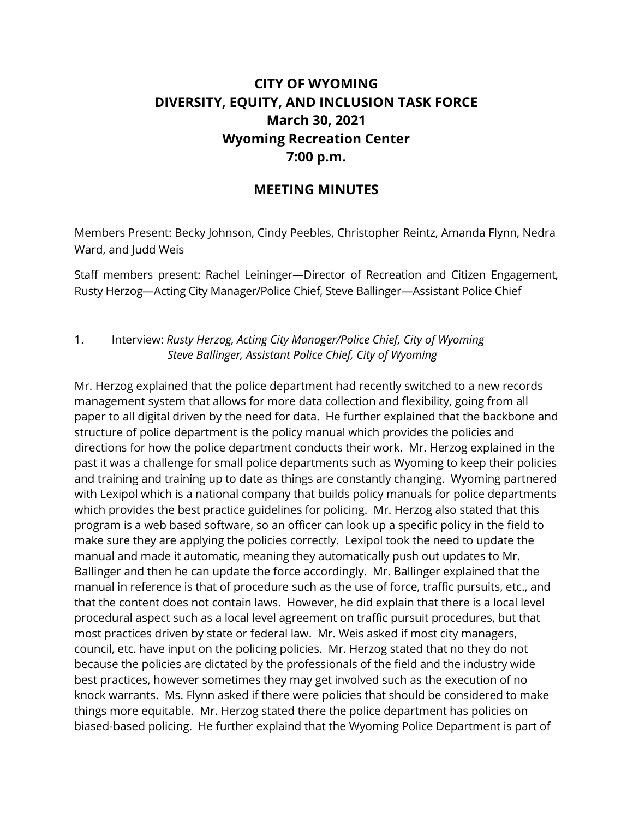## **CITY OF WYOMING DIVERSITY, EQUITY, AND INCLUSION TASK FORCE March 30, 2021 Wyoming Recreation Center 7:00 p.m.**

## **MEETING MINUTES**

Members Present: Becky Johnson, Cindy Peebles, Christopher Reintz, Amanda Flynn, Nedra Ward, and Judd Weis

Staff members present: Rachel Leininger—Director of Recreation and Citizen Engagement, Rusty Herzog—Acting City Manager/Police Chief, Steve Ballinger—Assistant Police Chief

## 1. Interview: *Rusty Herzog, Acting City Manager/Police Chief, City of Wyoming Steve Ballinger, Assistant Police Chief, City of Wyoming*

Mr. Herzog explained that the police department had recently switched to a new records management system that allows for more data collection and flexibility, going from all paper to all digital driven by the need for data. He further explained that the backbone and structure of police department is the policy manual which provides the policies and directions for how the police department conducts their work. Mr. Herzog explained in the past it was a challenge for small police departments such as Wyoming to keep their policies and training and training up to date as things are constantly changing. Wyoming partnered with Lexipol which is a national company that builds policy manuals for police departments which provides the best practice guidelines for policing. Mr. Herzog also stated that this program is a web based software, so an officer can look up a specific policy in the field to make sure they are applying the policies correctly. Lexipol took the need to update the manual and made it automatic, meaning they automatically push out updates to Mr. Ballinger and then he can update the force accordingly. Mr. Ballinger explained that the manual in reference is that of procedure such as the use of force, traffic pursuits, etc., and that the content does not contain laws. However, he did explain that there is a local level procedural aspect such as a local level agreement on traffic pursuit procedures, but that most practices driven by state or federal law. Mr. Weis asked if most city managers, council, etc. have input on the policing policies. Mr. Herzog stated that no they do not because the policies are dictated by the professionals of the field and the industry wide best practices, however sometimes they may get involved such as the execution of no knock warrants. Ms. Flynn asked if there were policies that should be considered to make things more equitable. Mr. Herzog stated there the police department has policies on biased-based policing. He further explaind that the Wyoming Police Department is part of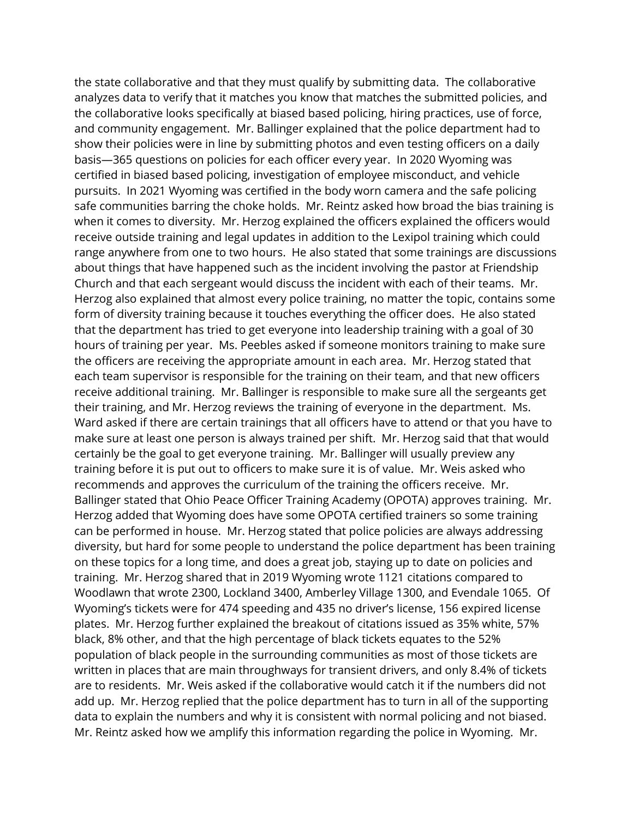the state collaborative and that they must qualify by submitting data. The collaborative analyzes data to verify that it matches you know that matches the submitted policies, and the collaborative looks specifically at biased based policing, hiring practices, use of force, and community engagement. Mr. Ballinger explained that the police department had to show their policies were in line by submitting photos and even testing officers on a daily basis—365 questions on policies for each officer every year. In 2020 Wyoming was certified in biased based policing, investigation of employee misconduct, and vehicle pursuits. In 2021 Wyoming was certified in the body worn camera and the safe policing safe communities barring the choke holds. Mr. Reintz asked how broad the bias training is when it comes to diversity. Mr. Herzog explained the officers explained the officers would receive outside training and legal updates in addition to the Lexipol training which could range anywhere from one to two hours. He also stated that some trainings are discussions about things that have happened such as the incident involving the pastor at Friendship Church and that each sergeant would discuss the incident with each of their teams. Mr. Herzog also explained that almost every police training, no matter the topic, contains some form of diversity training because it touches everything the officer does. He also stated that the department has tried to get everyone into leadership training with a goal of 30 hours of training per year. Ms. Peebles asked if someone monitors training to make sure the officers are receiving the appropriate amount in each area. Mr. Herzog stated that each team supervisor is responsible for the training on their team, and that new officers receive additional training. Mr. Ballinger is responsible to make sure all the sergeants get their training, and Mr. Herzog reviews the training of everyone in the department. Ms. Ward asked if there are certain trainings that all officers have to attend or that you have to make sure at least one person is always trained per shift. Mr. Herzog said that that would certainly be the goal to get everyone training. Mr. Ballinger will usually preview any training before it is put out to officers to make sure it is of value. Mr. Weis asked who recommends and approves the curriculum of the training the officers receive. Mr. Ballinger stated that Ohio Peace Officer Training Academy (OPOTA) approves training. Mr. Herzog added that Wyoming does have some OPOTA certified trainers so some training can be performed in house. Mr. Herzog stated that police policies are always addressing diversity, but hard for some people to understand the police department has been training on these topics for a long time, and does a great job, staying up to date on policies and training. Mr. Herzog shared that in 2019 Wyoming wrote 1121 citations compared to Woodlawn that wrote 2300, Lockland 3400, Amberley Village 1300, and Evendale 1065. Of Wyoming's tickets were for 474 speeding and 435 no driver's license, 156 expired license plates. Mr. Herzog further explained the breakout of citations issued as 35% white, 57% black, 8% other, and that the high percentage of black tickets equates to the 52% population of black people in the surrounding communities as most of those tickets are written in places that are main throughways for transient drivers, and only 8.4% of tickets are to residents. Mr. Weis asked if the collaborative would catch it if the numbers did not add up. Mr. Herzog replied that the police department has to turn in all of the supporting data to explain the numbers and why it is consistent with normal policing and not biased. Mr. Reintz asked how we amplify this information regarding the police in Wyoming. Mr.